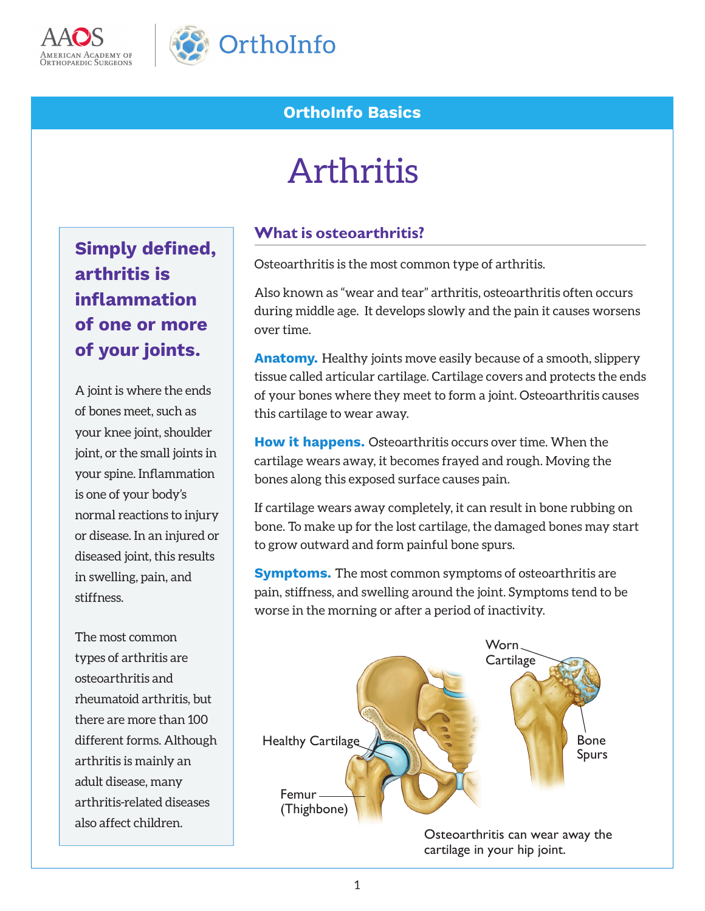



# **OrthoInfo Basics**

# Arthritis

**Simply defined, arthritis is inflammation of one or more of your joints.** 

A joint is where the ends of bones meet, such as your knee joint, shoulder joint, or the small joints in your spine. Inflammation is one of your body's normal reactions to injury or disease. In an injured or diseased joint, this results in swelling, pain, and stiffness.

The most common types of arthritis are osteoarthritis and rheumatoid arthritis, but there are more than 100 different forms. Although arthritis is mainly an adult disease, many arthritis-related diseases also affect children.

#### **What is osteoarthritis?**

Osteoarthritis is the most common type of arthritis.

Also known as "wear and tear" arthritis, osteoarthritis often occurs during middle age. It develops slowly and the pain it causes worsens over time.

**Anatomy.** Healthy joints move easily because of a smooth, slippery tissue called articular cartilage. Cartilage covers and protects the ends of your bones where they meet to form a joint. Osteoarthritis causes this cartilage to wear away.

**How it happens.** Osteoarthritis occurs over time. When the cartilage wears away, it becomes frayed and rough. Moving the bones along this exposed surface causes pain.

If cartilage wears away completely, it can result in bone rubbing on bone. To make up for the lost cartilage, the damaged bones may start to grow outward and form painful bone spurs.

**Symptoms.** The most common symptoms of osteoarthritis are pain, stiffness, and swelling around the joint. Symptoms tend to be worse in the morning or after a period of inactivity.



Osteoarthritis can wear away the cartilage in your hip joint.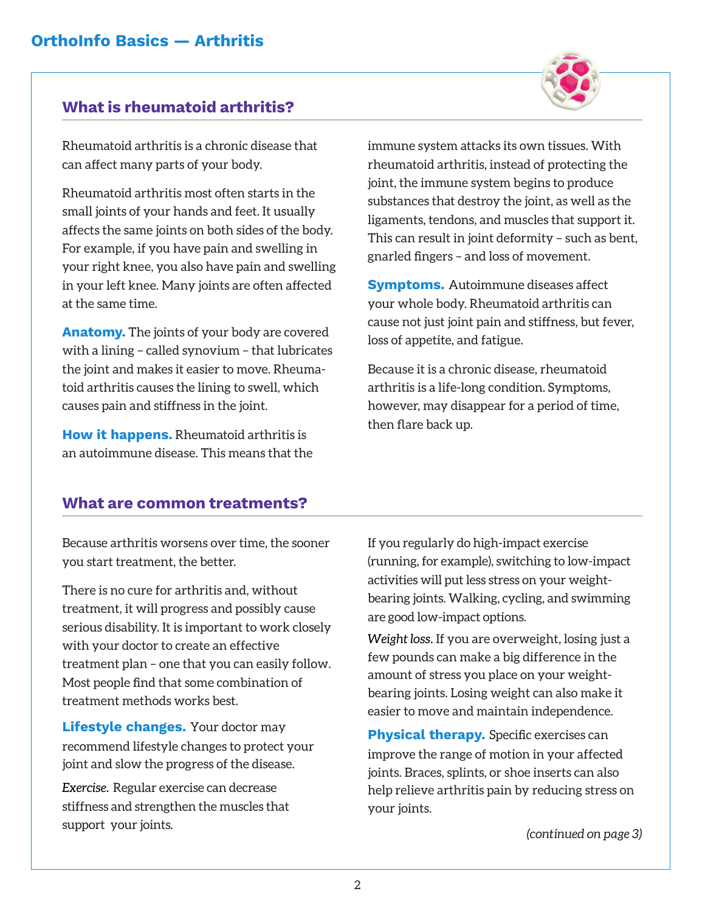# **What is rheumatoid arthritis?**

Rheumatoid arthritis is a chronic disease that can affect many parts of your body.

Rheumatoid arthritis most often starts in the small joints of your hands and feet. It usually affects the same joints on both sides of the body. For example, if you have pain and swelling in your right knee, you also have pain and swelling in your left knee. Many joints are often affected at the same time.

**Anatomy.** The joints of your body are covered with a lining – called synovium – that lubricates the joint and makes it easier to move. Rheumatoid arthritis causes the lining to swell, which causes pain and stiffness in the joint.

**How it happens.** Rheumatoid arthritis is an autoimmune disease. This means that the immune system attacks its own tissues. With rheumatoid arthritis, instead of protecting the joint, the immune system begins to produce substances that destroy the joint, as well as the ligaments, tendons, and muscles that support it. This can result in joint deformity – such as bent, gnarled fingers – and loss of movement.

**Symptoms.** Autoimmune diseases affect your whole body. Rheumatoid arthritis can cause not just joint pain and stiffness, but fever, loss of appetite, and fatigue.

Because it is a chronic disease, rheumatoid arthritis is a life-long condition. Symptoms, however, may disappear for a period of time, then flare back up.

#### **What are common treatments?**

Because arthritis worsens over time, the sooner you start treatment, the better.

There is no cure for arthritis and, without treatment, it will progress and possibly cause serious disability. It is important to work closely with your doctor to create an effective treatment plan – one that you can easily follow. Most people find that some combination of treatment methods works best.

**Lifestyle changes.** Your doctor may recommend lifestyle changes to protect your joint and slow the progress of the disease.

*Exercise.* Regular exercise can decrease stiffness and strengthen the muscles that support your joints.

If you regularly do high-impact exercise (running, for example), switching to low-impact activities will put less stress on your weightbearing joints. Walking, cycling, and swimming are good low-impact options.

*Weight loss.* If you are overweight, losing just a few pounds can make a big difference in the amount of stress you place on your weightbearing joints. Losing weight can also make it easier to move and maintain independence.

**Physical therapy.** Specific exercises can improve the range of motion in your affected joints. Braces, splints, or shoe inserts can also help relieve arthritis pain by reducing stress on your joints.

*(continued on page 3)*

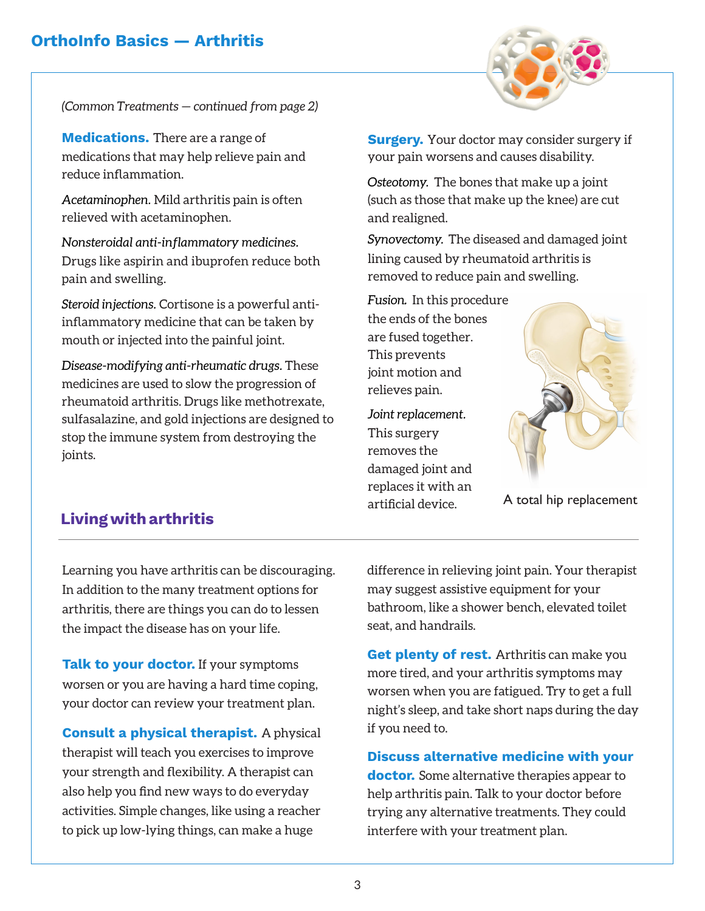## **OrthoInfo Basics — Arthritis**



*(Common Treatments — continued from page 2)*

**Medications.** There are a range of medications that may help relieve pain and reduce inflammation.

*Acetaminophen.* Mild arthritis pain is often relieved with acetaminophen.

*Nonsteroidal anti-inflammatory medicines.* Drugs like aspirin and ibuprofen reduce both pain and swelling.

*Steroid injections.* Cortisone is a powerful antiinflammatory medicine that can be taken by mouth or injected into the painful joint.

*Disease-modifying anti-rheumatic drugs.* These medicines are used to slow the progression of rheumatoid arthritis. Drugs like methotrexate, sulfasalazine, and gold injections are designed to stop the immune system from destroying the joints.

**Surgery.** Your doctor may consider surgery if your pain worsens and causes disability.

*Osteotomy.* The bones that make up a joint (such as those that make up the knee) are cut and realigned.

*Synovectomy.* The diseased and damaged joint lining caused by rheumatoid arthritis is removed to reduce pain and swelling.

*Fusion*. In this procedure the ends of the bones are fused together. This prevents joint motion and relieves pain.

*Joint replacement.* This surgery removes the damaged joint and replaces it with an artificial device.



A total hip replacement

## **Living with arthritis**

Learning you have arthritis can be discouraging. In addition to the many treatment options for arthritis, there are things you can do to lessen the impact the disease has on your life.

**Talk to your doctor.** If your symptoms worsen or you are having a hard time coping, your doctor can review your treatment plan.

**Consult a physical therapist.** A physical therapist will teach you exercises to improve your strength and flexibility. A therapist can also help you find new ways to do everyday activities. Simple changes, like using a reacher to pick up low-lying things, can make a huge

difference in relieving joint pain. Your therapist may suggest assistive equipment for your bathroom, like a shower bench, elevated toilet seat, and handrails.

**Get plenty of rest.** Arthritis can make you more tired, and your arthritis symptoms may worsen when you are fatigued. Try to get a full night's sleep, and take short naps during the day if you need to.

**Discuss alternative medicine with your doctor.** Some alternative therapies appear to help arthritis pain. Talk to your doctor before trying any alternative treatments. They could interfere with your treatment plan.